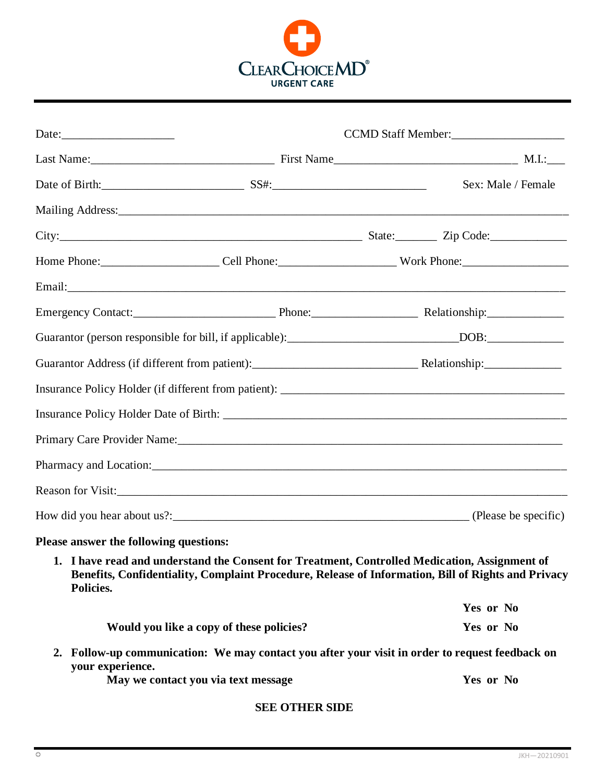

|                                        | Last Name: M.I.: Manne M.I.: Manne M.I.: Manne M.I.: M.I.: M.I.: M.I.: M.I.: M.I.: M.I.: M.I.: M.I.: M.I.: M.I.                                                                                     |  |                    |
|----------------------------------------|-----------------------------------------------------------------------------------------------------------------------------------------------------------------------------------------------------|--|--------------------|
|                                        |                                                                                                                                                                                                     |  | Sex: Male / Female |
|                                        |                                                                                                                                                                                                     |  |                    |
|                                        | City: Zip Code: Zip Code:                                                                                                                                                                           |  |                    |
|                                        | Home Phone: Cell Phone: Cell Phone: Work Phone:                                                                                                                                                     |  |                    |
|                                        |                                                                                                                                                                                                     |  |                    |
|                                        |                                                                                                                                                                                                     |  |                    |
|                                        | Guarantor (person responsible for bill, if applicable): _______________________________DOB: __________________                                                                                      |  |                    |
|                                        |                                                                                                                                                                                                     |  |                    |
|                                        |                                                                                                                                                                                                     |  |                    |
|                                        |                                                                                                                                                                                                     |  |                    |
|                                        |                                                                                                                                                                                                     |  |                    |
|                                        |                                                                                                                                                                                                     |  |                    |
|                                        | Reason for Visit:                                                                                                                                                                                   |  |                    |
|                                        |                                                                                                                                                                                                     |  |                    |
| Please answer the following questions: |                                                                                                                                                                                                     |  |                    |
| Policies.                              | 1. I have read and understand the Consent for Treatment. Controlled Medication. Assignment of<br>Benefits, Confidentiality, Complaint Procedure, Release of Information, Bill of Rights and Privacy |  |                    |
|                                        |                                                                                                                                                                                                     |  | Yes or No          |
|                                        | Would you like a copy of these policies?                                                                                                                                                            |  | Yes or No          |
| your experience.                       | 2. Follow-up communication: We may contact you after your visit in order to request feedback on                                                                                                     |  |                    |
| May we contact you via text message    |                                                                                                                                                                                                     |  | Yes or No          |